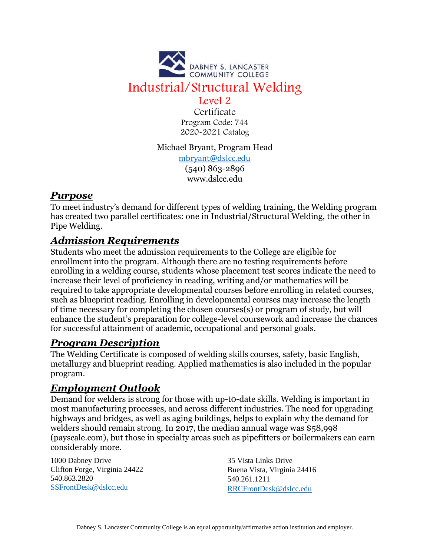

Certificate Program Code: 744 2020-2021 Catalog

#### Michael Bryant, Program Head

[mbryant@dslcc.edu](mailto:mbryant@dslcc.edu) (540) 863-2896 www.dslcc.edu

### *Purpose*

To meet industry's demand for different types of welding training, the Welding program has created two parallel certificates: one in Industrial/Structural Welding, the other in Pipe Welding.

# *Admission Requirements*

Students who meet the admission requirements to the College are eligible for enrollment into the program. Although there are no testing requirements before enrolling in a welding course, students whose placement test scores indicate the need to increase their level of proficiency in reading, writing and/or mathematics will be required to take appropriate developmental courses before enrolling in related courses, such as blueprint reading. Enrolling in developmental courses may increase the length of time necessary for completing the chosen courses(s) or program of study, but will enhance the student's preparation for college-level coursework and increase the chances for successful attainment of academic, occupational and personal goals.

# *Program Description*

The Welding Certificate is composed of welding skills courses, safety, basic English, metallurgy and blueprint reading. Applied mathematics is also included in the popular program.

# *Employment Outlook*

Demand for welders is strong for those with up-t0-date skills. Welding is important in most manufacturing processes, and across different industries. The need for upgrading highways and bridges, as well as aging buildings, helps to explain why the demand for welders should remain strong. In 2017, the median annual wage was \$58,998 (payscale.com), but those in specialty areas such as pipefitters or boilermakers can earn considerably more.

1000 Dabney Drive Clifton Forge, Virginia 24422 540.863.2820 [SSFrontDesk@dslcc.edu](mailto:SSFrontDesk@dslcc.edu)

35 Vista Links Drive Buena Vista, Virginia 24416 540.261.1211 [RRCFrontDesk@dslcc.edu](mailto:RRCFrontDesk@dslcc.edu)